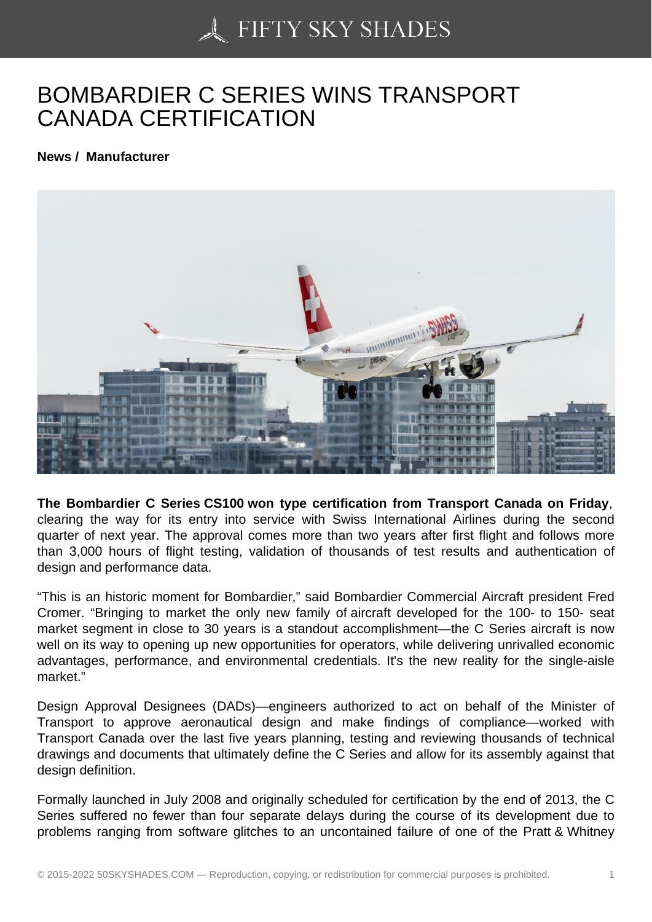## [BOMBARDIER C SER](https://50skyshades.com)IES WINS TRANSPORT CANADA CERTIFICATION

News / Manufacturer

The Bombardier C Series CS100 won type certification from Transport Canada on Friday , clearing the way for its entry into service with Swiss International Airlines during the second quarter of next year. The approval comes more than two years after first flight and follows more than 3,000 hours of flight testing, validation of thousands of test results and authentication of design and performance data.

"This is an historic moment for Bombardier," said Bombardier Commercial Aircraft president Fred Cromer. "Bringing to market the only new family of aircraft developed for the 100- to 150- seat market segment in close to 30 years is a standout accomplishment—the C Series aircraft is now well on its way to opening up new opportunities for operators, while delivering unrivalled economic advantages, performance, and environmental credentials. It's the new reality for the single-aisle market."

Design Approval Designees (DADs)—engineers authorized to act on behalf of the Minister of Transport to approve aeronautical design and make findings of compliance—worked with Transport Canada over the last five years planning, testing and reviewing thousands of technical drawings and documents that ultimately define the C Series and allow for its assembly against that design definition.

Formally launched in July 2008 and originally scheduled for certification by the end of 2013, the C Series suffered no fewer than four separate delays during the course of its development due to problems ranging from software glitches to an uncontained failure of one of the Pratt & Whitney